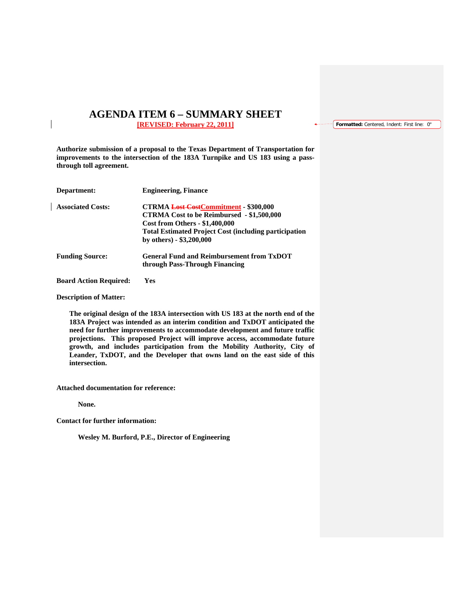## **AGENDA ITEM 6 – SUMMARY SHEET [REVISED: February 22, 2011]**

**Formatted:** Centered, Indent: First line: 0"

**Authorize submission of a proposal to the Texas Department of Transportation for improvements to the intersection of the 183A Turnpike and US 183 using a passthrough toll agreement.**

| Department:                   | <b>Engineering, Finance</b>                                                                                                                                                                                                      |
|-------------------------------|----------------------------------------------------------------------------------------------------------------------------------------------------------------------------------------------------------------------------------|
| <b>Associated Costs:</b>      | CTRMA Lost CostCommitment - \$300,000<br><b>CTRMA Cost to be Reimbursed - \$1,500,000</b><br><b>Cost from Others - \$1,400,000</b><br><b>Total Estimated Project Cost (including participation</b><br>by others) $-$ \$3,200,000 |
| <b>Funding Source:</b>        | <b>General Fund and Reimbursement from TxDOT</b><br>through Pass-Through Financing                                                                                                                                               |
| <b>Board Action Required:</b> | Yes                                                                                                                                                                                                                              |

**Description of Matter:**

**The original design of the 183A intersection with US 183 at the north end of the 183A Project was intended as an interim condition and TxDOT anticipated the need for further improvements to accommodate development and future traffic projections. This proposed Project will improve access, accommodate future growth, and includes participation from the Mobility Authority, City of Leander, TxDOT, and the Developer that owns land on the east side of this intersection.** 

**Attached documentation for reference:** 

**None.**

**Contact for further information:**

**Wesley M. Burford, P.E., Director of Engineering**